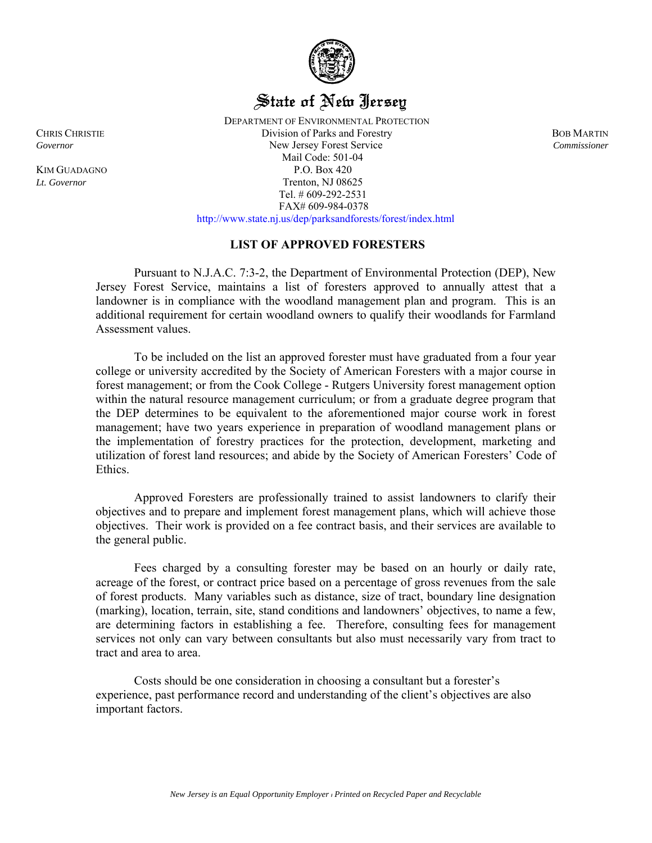

# State of New Jersey

 DEPARTMENT OF ENVIRONMENTAL PROTECTION CHRIS CHRISTIE Division of Parks and Forestry BOB MARTIN *Governor* New Jersey Forest Service *Commissioner*  Mail Code: 501-04 KIM GUADAGNO P.O. Box 420 *Lt. Governor* Trenton, NJ 08625 Tel. # 609-292-2531 FAX# 609-984-0378 http://www.state.nj.us/dep/parksandforests/forest/index.html

## **LIST OF APPROVED FORESTERS**

 Pursuant to N.J.A.C. 7:3-2, the Department of Environmental Protection (DEP), New Jersey Forest Service, maintains a list of foresters approved to annually attest that a landowner is in compliance with the woodland management plan and program. This is an additional requirement for certain woodland owners to qualify their woodlands for Farmland Assessment values.

To be included on the list an approved forester must have graduated from a four year college or university accredited by the Society of American Foresters with a major course in forest management; or from the Cook College - Rutgers University forest management option within the natural resource management curriculum; or from a graduate degree program that the DEP determines to be equivalent to the aforementioned major course work in forest management; have two years experience in preparation of woodland management plans or the implementation of forestry practices for the protection, development, marketing and utilization of forest land resources; and abide by the Society of American Foresters' Code of Ethics.

Approved Foresters are professionally trained to assist landowners to clarify their objectives and to prepare and implement forest management plans, which will achieve those objectives. Their work is provided on a fee contract basis, and their services are available to the general public.

Fees charged by a consulting forester may be based on an hourly or daily rate, acreage of the forest, or contract price based on a percentage of gross revenues from the sale of forest products. Many variables such as distance, size of tract, boundary line designation (marking), location, terrain, site, stand conditions and landowners' objectives, to name a few, are determining factors in establishing a fee. Therefore, consulting fees for management services not only can vary between consultants but also must necessarily vary from tract to tract and area to area.

Costs should be one consideration in choosing a consultant but a forester's experience, past performance record and understanding of the client's objectives are also important factors.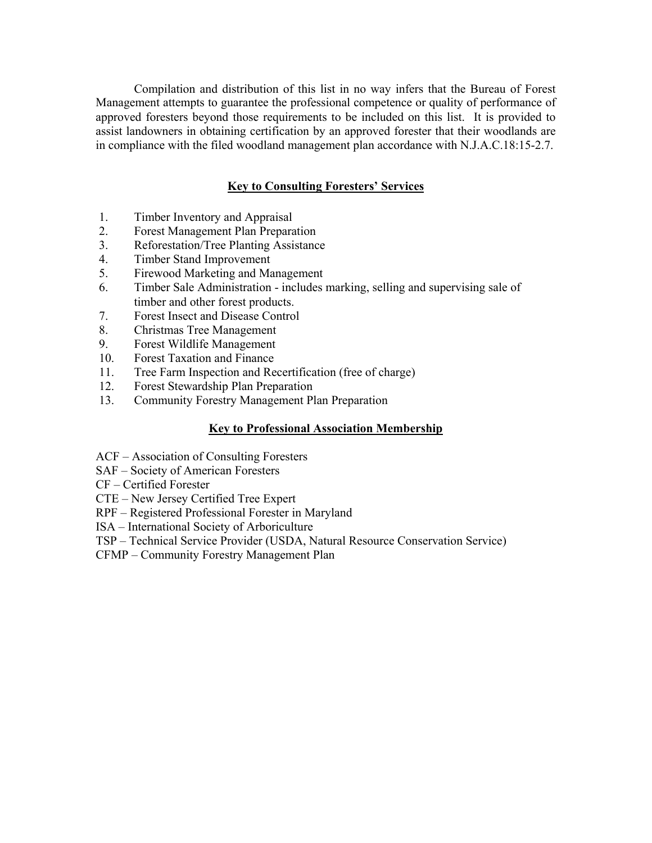Compilation and distribution of this list in no way infers that the Bureau of Forest Management attempts to guarantee the professional competence or quality of performance of approved foresters beyond those requirements to be included on this list. It is provided to assist landowners in obtaining certification by an approved forester that their woodlands are in compliance with the filed woodland management plan accordance with N.J.A.C.18:15-2.7.

## **Key to Consulting Foresters' Services**

- 1. Timber Inventory and Appraisal
- 2. Forest Management Plan Preparation
- 3. Reforestation/Tree Planting Assistance
- 4. Timber Stand Improvement
- 5. Firewood Marketing and Management
- 6. Timber Sale Administration includes marking, selling and supervising sale of timber and other forest products.
- 7. Forest Insect and Disease Control
- 8. Christmas Tree Management
- 9. Forest Wildlife Management
- 10. Forest Taxation and Finance
- 11. Tree Farm Inspection and Recertification (free of charge)
- 12. Forest Stewardship Plan Preparation
- 13. Community Forestry Management Plan Preparation

### **Key to Professional Association Membership**

- ACF Association of Consulting Foresters
- SAF Society of American Foresters
- CF Certified Forester
- CTE New Jersey Certified Tree Expert
- RPF Registered Professional Forester in Maryland
- ISA International Society of Arboriculture
- TSP Technical Service Provider (USDA, Natural Resource Conservation Service)
- CFMP Community Forestry Management Plan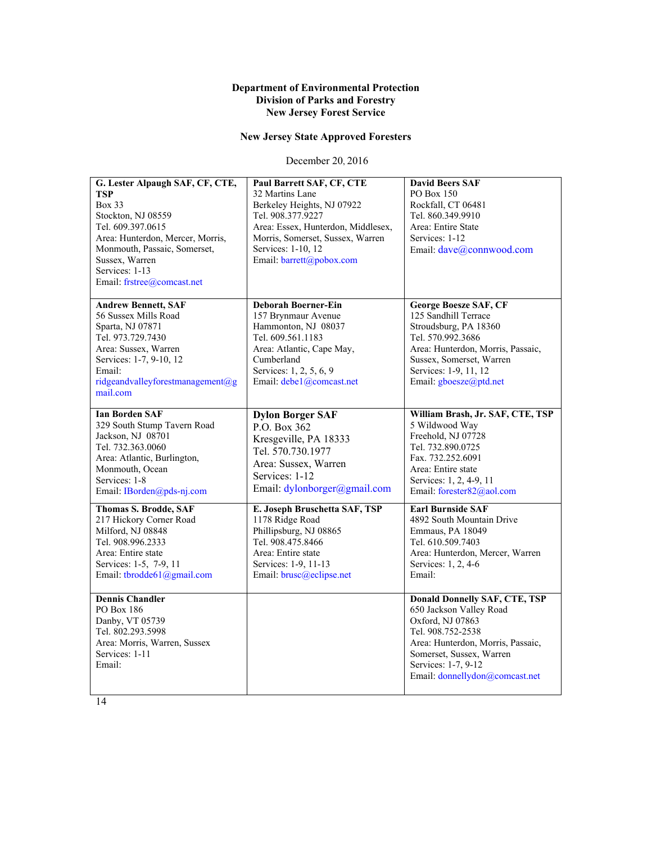#### **Department of Environmental Protection Division of Parks and Forestry New Jersey Forest Service**

# **New Jersey State Approved Foresters**

December 20, 2016

| G. Lester Alpaugh SAF, CF, CTE,<br>TSP<br><b>Box 33</b><br>Stockton, NJ 08559<br>Tel. 609.397.0615<br>Area: Hunterdon, Mercer, Morris,<br>Monmouth, Passaic, Somerset,<br>Sussex, Warren<br>Services: 1-13<br>Email: frstree@comcast.net | Paul Barrett SAF, CF, CTE<br>32 Martins Lane<br>Berkeley Heights, NJ 07922<br>Tel. 908.377.9227<br>Area: Essex, Hunterdon, Middlesex,<br>Morris, Somerset, Sussex, Warren<br>Services: 1-10, 12<br>Email: barrett@pobox.com | <b>David Beers SAF</b><br>PO Box 150<br>Rockfall, CT 06481<br>Tel. 860.349.9910<br>Area: Entire State<br>Services: 1-12<br>Email: dave@connwood.com                                                                                |
|------------------------------------------------------------------------------------------------------------------------------------------------------------------------------------------------------------------------------------------|-----------------------------------------------------------------------------------------------------------------------------------------------------------------------------------------------------------------------------|------------------------------------------------------------------------------------------------------------------------------------------------------------------------------------------------------------------------------------|
| <b>Andrew Bennett, SAF</b><br>56 Sussex Mills Road<br>Sparta, NJ 07871<br>Tel. 973.729.7430<br>Area: Sussex, Warren<br>Services: 1-7, 9-10, 12<br>Email:<br>ridgeandvalleyforestmanagement@g<br>mail.com                                 | <b>Deborah Boerner-Ein</b><br>157 Brynmaur Avenue<br>Hammonton, NJ 08037<br>Tel. 609.561.1183<br>Area: Atlantic, Cape May,<br>Cumberland<br>Services: 1, 2, 5, 6, 9<br>Email: debe1@comcast.net                             | <b>George Boesze SAF, CF</b><br>125 Sandhill Terrace<br>Stroudsburg, PA 18360<br>Tel. 570.992.3686<br>Area: Hunterdon, Morris, Passaic,<br>Sussex, Somerset, Warren<br>Services: 1-9, 11, 12<br>Email: gboesze@ptd.net             |
| <b>Ian Borden SAF</b><br>329 South Stump Tavern Road<br>Jackson, NJ 08701<br>Tel. 732.363.0060<br>Area: Atlantic, Burlington,<br>Monmouth, Ocean<br>Services: 1-8<br>Email: IBorden@pds-nj.com                                           | <b>Dylon Borger SAF</b><br>P.O. Box 362<br>Kresgeville, PA 18333<br>Tel. 570.730.1977<br>Area: Sussex, Warren<br>Services: 1-12<br>Email: dylonborger@gmail.com                                                             | William Brash, Jr. SAF, CTE, TSP<br>5 Wildwood Way<br>Freehold, NJ 07728<br>Tel. 732.890.0725<br>Fax. 732.252.6091<br>Area: Entire state<br>Services: 1, 2, 4-9, 11<br>Email: forester82@aol.com                                   |
| <b>Thomas S. Brodde, SAF</b><br>217 Hickory Corner Road<br>Milford, NJ 08848<br>Tel. 908.996.2333<br>Area: Entire state<br>Services: 1-5, 7-9, 11<br>Email: tbrodde61@gmail.com                                                          | E. Joseph Bruschetta SAF, TSP<br>1178 Ridge Road<br>Phillipsburg, NJ 08865<br>Tel. 908.475.8466<br>Area: Entire state<br>Services: 1-9, 11-13<br>Email: brusc@eclipse.net                                                   | <b>Earl Burnside SAF</b><br>4892 South Mountain Drive<br>Emmaus, PA 18049<br>Tel. 610.509.7403<br>Area: Hunterdon, Mercer, Warren<br>Services: 1, 2, 4-6<br>Email:                                                                 |
| <b>Dennis Chandler</b><br>PO Box 186<br>Danby, VT 05739<br>Tel. 802.293.5998<br>Area: Morris, Warren, Sussex<br>Services: 1-11<br>Email:                                                                                                 |                                                                                                                                                                                                                             | <b>Donald Donnelly SAF, CTE, TSP</b><br>650 Jackson Valley Road<br>Oxford, NJ 07863<br>Tel. 908.752-2538<br>Area: Hunterdon, Morris, Passaic,<br>Somerset, Sussex, Warren<br>Services: 1-7, 9-12<br>Email: donnellydon@comcast.net |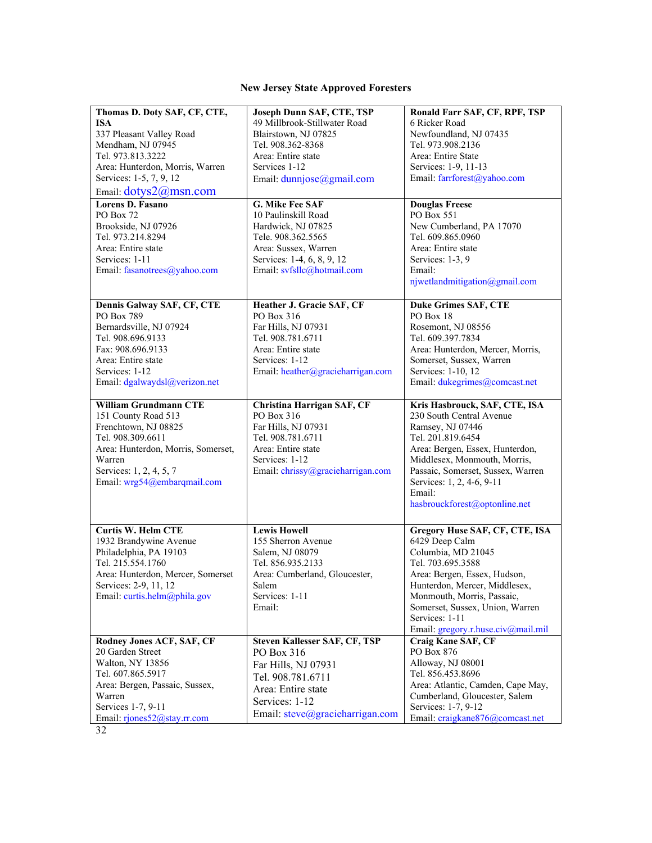## **New Jersey State Approved Foresters**

| Thomas D. Doty SAF, CF, CTE,<br><b>ISA</b><br>337 Pleasant Valley Road<br>Mendham, NJ 07945<br>Tel. 973.813.3222<br>Area: Hunterdon, Morris, Warren<br>Services: 1-5, 7, 9, 12<br>Email: dotys2@msn.com    | Joseph Dunn SAF, CTE, TSP<br>49 Millbrook-Stillwater Road<br>Blairstown, NJ 07825<br>Tel. 908.362-8368<br>Area: Entire state<br>Services 1-12<br>Email: dunnjose@gmail.com | Ronald Farr SAF, CF, RPF, TSP<br>6 Ricker Road<br>Newfoundland, NJ 07435<br>Tel. 973.908.2136<br>Area: Entire State<br>Services: 1-9, 11-13<br>Email: farrforest@yahoo.com                                                                                                            |
|------------------------------------------------------------------------------------------------------------------------------------------------------------------------------------------------------------|----------------------------------------------------------------------------------------------------------------------------------------------------------------------------|---------------------------------------------------------------------------------------------------------------------------------------------------------------------------------------------------------------------------------------------------------------------------------------|
| Lorens D. Fasano<br>PO Box 72<br>Brookside, NJ 07926<br>Tel. 973.214.8294<br>Area: Entire state<br>Services: 1-11<br>Email: fasanotrees@yahoo.com                                                          | G. Mike Fee SAF<br>10 Paulinskill Road<br>Hardwick, NJ 07825<br>Tele. 908.362.5565<br>Area: Sussex, Warren<br>Services: 1-4, 6, 8, 9, 12<br>Email: svfsllc@hotmail.com     | <b>Douglas Freese</b><br>PO Box 551<br>New Cumberland, PA 17070<br>Tel. 609.865.0960<br>Area: Entire state<br>Services: 1-3, 9<br>Email:<br>njwetlandmitigation@gmail.com                                                                                                             |
| Dennis Galway SAF, CF, CTE<br>PO Box 789<br>Bernardsville, NJ 07924<br>Tel. 908.696.9133<br>Fax: 908.696.9133<br>Area: Entire state<br>Services: 1-12<br>Email: dgalwaydsl@verizon.net                     | Heather J. Gracie SAF, CF<br>PO Box 316<br>Far Hills, NJ 07931<br>Tel. 908.781.6711<br>Area: Entire state<br>Services: 1-12<br>Email: heather@gracieharrigan.com           | <b>Duke Grimes SAF, CTE</b><br>PO Box 18<br>Rosemont, NJ 08556<br>Tel. 609.397.7834<br>Area: Hunterdon, Mercer, Morris,<br>Somerset, Sussex, Warren<br>Services: 1-10, 12<br>Email: dukegrimes@comcast.net                                                                            |
| <b>William Grundmann CTE</b><br>151 County Road 513<br>Frenchtown, NJ 08825<br>Tel. 908.309.6611<br>Area: Hunterdon, Morris, Somerset,<br>Warren<br>Services: 1, 2, 4, 5, 7<br>Email: wrg54@embarqmail.com | Christina Harrigan SAF, CF<br>PO Box 316<br>Far Hills, NJ 07931<br>Tel. 908.781.6711<br>Area: Entire state<br>Services: 1-12<br>Email: chrissy@gracieharrigan.com          | Kris Hasbrouck, SAF, CTE, ISA<br>230 South Central Avenue<br>Ramsey, NJ 07446<br>Tel. 201.819.6454<br>Area: Bergen, Essex, Hunterdon,<br>Middlesex, Monmouth, Morris,<br>Passaic, Somerset, Sussex, Warren<br>Services: 1, 2, 4-6, 9-11<br>Email:<br>hasbrouckforest@optonline.net    |
| <b>Curtis W. Helm CTE</b><br>1932 Brandywine Avenue<br>Philadelphia, PA 19103<br>Tel. 215.554.1760<br>Area: Hunterdon, Mercer, Somerset<br>Services: 2-9, 11, 12<br>Email: curtis.helm@phila.gov           | <b>Lewis Howell</b><br>155 Sherron Avenue<br>Salem, NJ 08079<br>Tel. 856.935.2133<br>Area: Cumberland, Gloucester,<br>Salem<br>Services: 1-11<br>Email:                    | Gregory Huse SAF, CF, CTE, ISA<br>6429 Deep Calm<br>Columbia, MD 21045<br>Tel. 703.695.3588<br>Area: Bergen, Essex, Hudson,<br>Hunterdon, Mercer, Middlesex,<br>Monmouth, Morris, Passaic,<br>Somerset, Sussex, Union, Warren<br>Services: 1-11<br>Email: gregory.r.huse.civ@mail.mil |
| Rodney Jones ACF, SAF, CF<br>20 Garden Street<br>Walton, NY 13856<br>Tel. 607.865.5917<br>Area: Bergen, Passaic, Sussex,<br>Warren<br>Services 1-7, 9-11<br>Email: rjones52@stay.rr.com                    | Steven Kallesser SAF, CF, TSP<br>PO Box 316<br>Far Hills, NJ 07931<br>Tel. 908.781.6711<br>Area: Entire state<br>Services: 1-12<br>Email: steve@gracieharrigan.com         | Craig Kane SAF, CF<br>PO Box 876<br>Alloway, NJ 08001<br>Tel. 856.453.8696<br>Area: Atlantic, Camden, Cape May,<br>Cumberland, Gloucester, Salem<br>Services: 1-7, 9-12<br>Email: craigkane876@comcast.net                                                                            |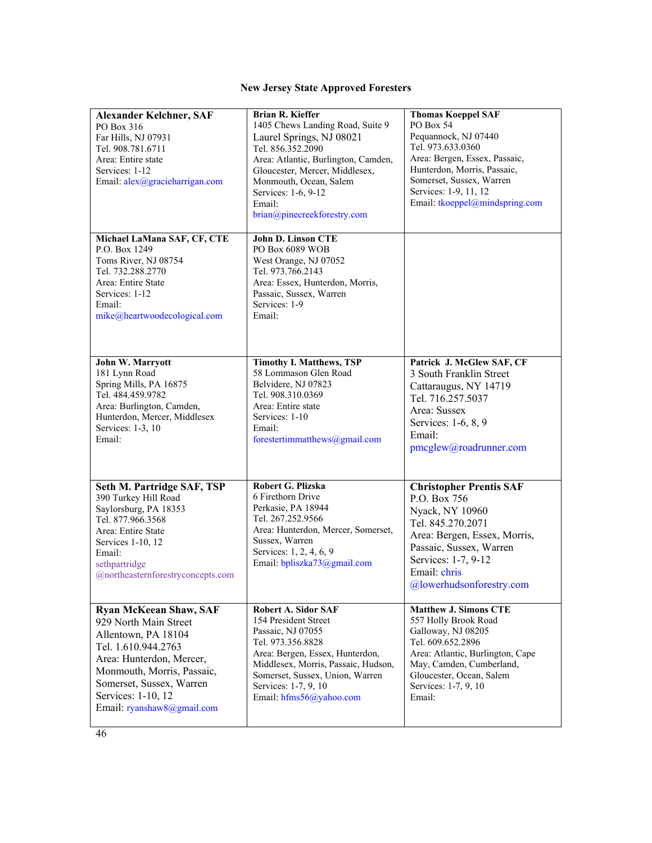## **New Jersey State Approved Foresters**

| <b>Alexander Kelchner, SAF</b><br>PO Box 316<br>Far Hills, NJ 07931<br>Tel. 908.781.6711<br>Area: Entire state<br>Services: 1-12<br>Email: alex@gracieharrigan.com                                                                             | <b>Brian R. Kieffer</b><br>1405 Chews Landing Road, Suite 9<br>Laurel Springs, NJ 08021<br>Tel. 856.352.2090<br>Area: Atlantic, Burlington, Camden,<br>Gloucester, Mercer, Middlesex,<br>Monmouth, Ocean, Salem<br>Services: 1-6, 9-12<br>Email:<br>brian@pinecreekforestry.com | <b>Thomas Koeppel SAF</b><br>PO Box 54<br>Pequannock, NJ 07440<br>Tel. 973.633.0360<br>Area: Bergen, Essex, Passaic,<br>Hunterdon, Morris, Passaic,<br>Somerset, Sussex, Warren<br>Services: 1-9, 11, 12<br>Email: tkoeppel@mindspring.com |
|------------------------------------------------------------------------------------------------------------------------------------------------------------------------------------------------------------------------------------------------|---------------------------------------------------------------------------------------------------------------------------------------------------------------------------------------------------------------------------------------------------------------------------------|--------------------------------------------------------------------------------------------------------------------------------------------------------------------------------------------------------------------------------------------|
| Michael LaMana SAF, CF, CTE<br>P.O. Box 1249<br>Toms River, NJ 08754<br>Tel. 732.288.2770<br>Area: Entire State<br>Services: 1-12<br>Email:<br>mike@heartwoodecological.com                                                                    | John D. Linson CTE<br>PO Box 6089 WOB<br>West Orange, NJ 07052<br>Tel. 973.766.2143<br>Area: Essex, Hunterdon, Morris,<br>Passaic, Sussex, Warren<br>Services: 1-9<br>Email:                                                                                                    |                                                                                                                                                                                                                                            |
| John W. Marryott<br>181 Lynn Road<br>Spring Mills, PA 16875<br>Tel. 484.459.9782<br>Area: Burlington, Camden,<br>Hunterdon, Mercer, Middlesex<br>Services: 1-3, 10<br>Email:                                                                   | <b>Timothy I. Matthews, TSP</b><br>58 Lommason Glen Road<br>Belvidere, NJ 07823<br>Tel. 908.310.0369<br>Area: Entire state<br>Services: 1-10<br>Email:<br>forestertimmatthews@gmail.com                                                                                         | Patrick J. McGlew SAF, CF<br>3 South Franklin Street<br>Cattaraugus, NY 14719<br>Tel. 716.257.5037<br>Area: Sussex<br>Services: 1-6, 8, 9<br>Email:<br>pmcglew@roadrunner.com                                                              |
| Seth M. Partridge SAF, TSP<br>390 Turkey Hill Road<br>Saylorsburg, PA 18353<br>Tel. 877.966.3568<br>Area: Entire State<br>Services 1-10, 12<br>Email:<br>sethpartridge<br>@northeasternforestryconcepts.com                                    | Robert G. Plizska<br>6 Firethorn Drive<br>Perkasie, PA 18944<br>Tel. 267.252.9566<br>Area: Hunterdon, Mercer, Somerset,<br>Sussex, Warren<br>Services: 1, 2, 4, 6, 9<br>Email: bpliszka73@gmail.com                                                                             | <b>Christopher Prentis SAF</b><br>P.O. Box 756<br>Nyack, NY 10960<br>Tel. 845.270.2071<br>Area: Bergen, Essex, Morris,<br>Passaic, Sussex, Warren<br>Services: 1-7, 9-12<br>Email: chris<br>@lowerhudsonforestry.com                       |
| <b>Ryan McKeean Shaw, SAF</b><br>929 North Main Street<br>Allentown, PA 18104<br>Tel. 1.610.944.2763<br>Area: Hunterdon, Mercer,<br>Monmouth, Morris, Passaic,<br>Somerset, Sussex, Warren<br>Services: 1-10, 12<br>Email: ryanshaw8@gmail.com | Robert A. Sidor SAF<br>154 President Street<br>Passaic, NJ 07055<br>Tel. 973.356.8828<br>Area: Bergen, Essex, Hunterdon,<br>Middlesex, Morris, Passaic, Hudson,<br>Somerset, Sussex, Union, Warren<br>Services: 1-7, 9, 10<br>Email: hfms56@yahoo.com                           | <b>Matthew J. Simons CTE</b><br>557 Holly Brook Road<br>Galloway, NJ 08205<br>Tel. 609.652.2896<br>Area: Atlantic, Burlington, Cape<br>May, Camden, Cumberland,<br>Gloucester, Ocean, Salem<br>Services: 1-7, 9, 10<br>Email:              |